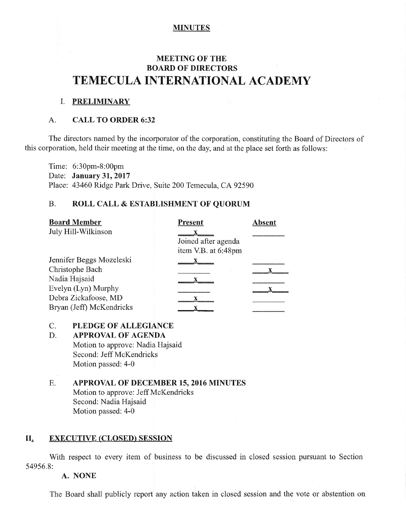## **MINUTES**

# **MEETING OF THE** BOARD OF DIRECTORS TEMECULA INTERNATIONAL ACADEMY

### I. PRELIMINARY

### A. CALL TO ORDER 6:32

The directors named by the incorporator of the corporation, constituting the Board of Directors of this corporation, held their meeting at the time, on the day, and at the place set forth as follows:

Time: 6:30pm-8:00pm Date: January 31, 2017 Place: 43460 Ridge Park Drive, Suite 200 Temecula, CA 92590

### B. ROLL CALL & ESTABLISHMENT OF QUORUM

| <b>Board Member</b>      | <b>Present</b>                             | <b>Absent</b> |
|--------------------------|--------------------------------------------|---------------|
| July Hill-Wilkinson      | Joined after agenda<br>item V.B. at 6:48pm |               |
| Jennifer Beggs Mozeleski |                                            |               |
| Christophe Bach          |                                            |               |
| Nadia Hajsaid            |                                            |               |
| Evelyn (Lyn) Murphy      |                                            |               |
| Debra Zickafoose, MD     |                                            |               |
| Bryan (Jeff) McKendricks |                                            |               |

### C. PLEDGE OF ALLEGIANCE

D. APPROVAL OF AGENDA

Motion to approve: Nadia Hajsaid Second: Jeff McKendricks Motion passed: 4-0

E. APPROVAL OF DECEMBER 15, 2016 MINUTES Motion to approve: Jeff McKendricks Second: Nadia Hajsaid Motion passed: 4-0

### II. EXECUTIVE (CLOSED) SESSION

With respect to every item of business to be discussed in closed session pursuant to Section 54956.8:

### A. NONE

The Board shall publicly report any action taken in closed session and the vote or abstention on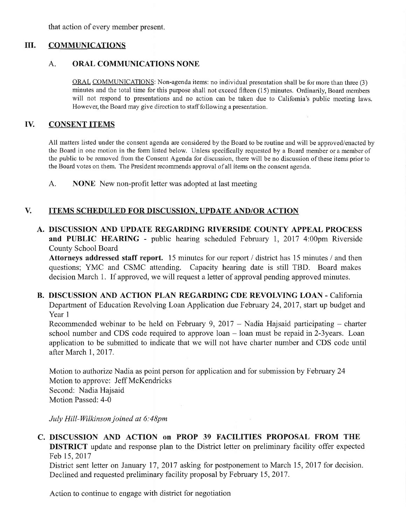that action of every member present.

#### ilI. COMMUNICATIONS

#### ORAL COMMUNICATIONS NONE A.

ORAL COMMUNICATIONS: Non-agenda items: no individual presentation shall be for more than three (3) minutes and the total time for this purpose shalI not exceed fifteen (15) minutes. Ordinanly, Board members will not respond to presentations and no action can be taken due to California's public meeting laws. However, the Board may give direction to staff following a presentation.

#### **CONSENT ITEMS** TV.

All matters listed under the consent agenda are considered by the Board to be routine and will be approved/enacted by the Board in one motion in the form listed below. Unless specifically requested by a Board member or a member of the public to be removed from the Consent Agenda for discussion, there will be no discussion of these items prior to the Board votes on them. The President recommends approval of all items on the consent agenda.

A. NONE New non-profit letter was adopted at last meeting

#### ITEMS SCHEDULED FOR DISCUSSION, UPDATE AND/OR ACTION V.

DISCUSSION AND IUPDATE REGARDING RIVERSIDE COUNTY APPEAL PROCESS A. and PUBLIC HEARING - public hearing scheduled February 1, 2017 4:00pm Riverside County School Board

Attorneys addressed staff report. 15 minutes for our report / district has 15 minutes / and then questions; YMC and CSMC attending. Capacity hearing date is still TBD. Board makes decision March 1. If approved, we will request a letter of approval pending approved minutes.

B. DISCUSSION AND ACTION PLAN REGARDING CDE REVOLVING LOAN - California Department of Education Revolving Loan Application due February 24, 2017, start up budget and Year <sup>1</sup>

Recommended webinar to be held on February 9, 2017 – Nadia Hajsaid participating – charter school number and CDS code required to approve  $\text{loan} - \text{loan}$  must be repaid in 2-3years. Loan application to be submitted to indicate that we will not have charter number and CDS code until after March 1, 2017.

Motion to authorize Nadia as point person for application and for submission by February 24 Motion to approve: Jeff McKendricks Second: Nadia Hajsaid Motion Passed: 4-0

July Hill-Wilkinson joined at 6:48pm

## C. DISCUSSION AND ACTION on PROP 39 FACILITIES PROPOSAL FROM THE **DISTRICT** update and response plan to the District letter on preliminary facility offer expected Feb 15,2017

District sent letter on January 17, 2017 asking for postponement to March 15, 2017 for decision. Declined and requested preliminary facility proposal by February 15, 2017.

Action to continue to engage with district for negotiation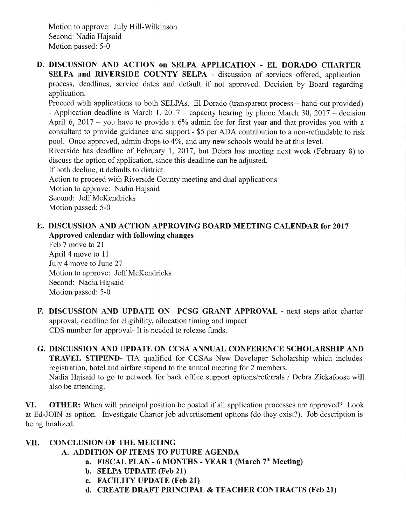Motion to approve: July Hill-Wilkinson Second: Nadia Hajsaid Motion passed: 5-0

D. DISCUSSION AND ACTION on SELPA APPLICATION - EL DORADO CHARTER SELPA and RIVERSIDE COUNTY SELPA - discussion of services offered, application process, deadlines, service dates and default if not approved. Decision by Board regarding application.

Proceed with applications to both SELPAs. El Dorado (transparent process – hand-out provided) - Application deadline is March 1, 2017 – capacity hearing by phone March 30, 2017 – decision April 6, 2017 – you have to provide a 6% admin fee for first year and that provides you with a consultant to provide guidance and support - \$5 per ADA contribution to a non-refundable to risk pool. Once approved, admin drops to 4%, and any new schools would be at this level.

Riverside has deadline of February 1, 2017, but Debra has meeting next week (February 8) to discuss the option of application, since this deadline can be adjusted.

If both decline, it defaults to district.

Action to proceed with Riverside County meeting and dual applications

Motion to approve: Nadia Hajsaid

Second: Jeff McKendricks

Motion passed: 5-0

## E. DISCUSSION AND ACTION APPROVING BOARD MEETING CALENDAR for 2017 Approved calendar with following changes

Feb 7 move to 21 April 4 move to 11 July 4 move to June 27 Motion to approve: Jeff McKendricks Second: Nadia Hajsaid Motion passed: 5-0

- F. DISCUSSION AND UPDATE ON PCSG GRANT APPROVAL next steps after charter approval, deadline for eligibility, allocation timing and impact CDS number for approval- It is needed to release funds.
- G. DISCUSSION AND IUPDATE ON CCSA ANNUAL CONFERENCE SCHOLARSHIP AND **TRAVEL STIPEND-** TIA qualified for CCSAs New Developer Scholarship which includes registration, hotel and airfare stipend to the annual meeting for 2 members. Nadia Hajsaid to go to network for back office support options/referrals / Debra Zickafoose will also be attending.

VI. OTHER: When will principal position be posted if all application processes are approved? Look at Ed-JOIN as option. Investigate Charter job advertisement options (do they exist?). Job description is being finalized.

# VII. CONCLUSTON OF THE MEETING

- A. ADDITION OF ITEMS TO FUTURE AGENDA
	- a. FISCAL PLAN 6 MONTHS YEAR 1 (March  $7<sup>th</sup>$  Meeting)
	- b. SELPA UPDATE (Feb 21)
	- c. FACILITY UPDATE (Feb 21)
	- d. CREATE DRAFT PRINCIPAL & TEACHER CONTRACTS (Feb 21)